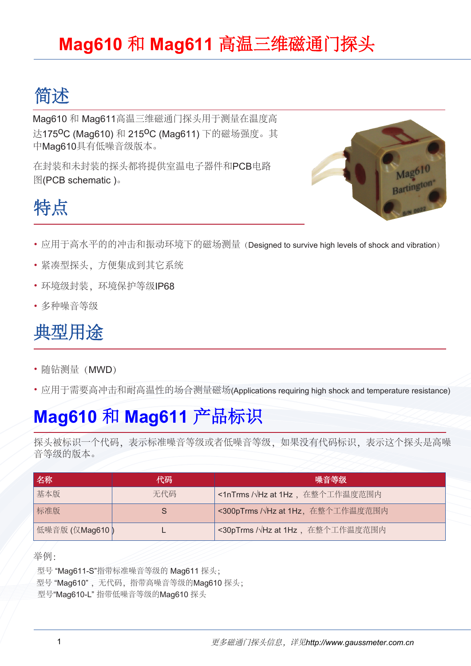#### **Mag610** 和 **Mag611** 高温三维磁通门探头

### 简述

Mag610 和 Mag611高温三维磁通门探头用于测量在温度高 达175<sup>O</sup>C (Mag610) 和 215<sup>O</sup>C (Mag611) 下的磁场强度。其 中Mag610具有低噪音级版本。

在封装和未封装的探头都将提供室温电子器件和PCB电路 图(PCB schematic)。



# 特点

- 应用于高水平的的冲击和振动环境下的磁场测量(Designed to survive high levels of shock and vibration)
- 紧凑型探头,方便集成到其它系统
- 环境级封装,环境保护等级IP68
- 多种噪音等级

#### 典型用途

- 随钻测量(MWD)
- 应用于需要高冲击和耐高温性的场合测量磁场(Applications requiring high shock and temperature resistance)

#### **Mag610** 和 **Mag611** 产品标识

探头被标识一个代码,表示标准噪音等级或者低噪音等级,如果没有代码标识,表示这个探头是高噪 音等级的版本。

| 名称             | 代码  | 噪音等级                                      |
|----------------|-----|-------------------------------------------|
| 基本版            | 无代码 | <1nTrms / VHz at 1Hz, 在整个工作温度范围内          |
| 标准版            |     | <300pTrms / VHz at 1Hz, 在整个工作温度范围内        |
| 低噪音版 (仅Mag610) |     | <30pTrms / $\sqrt{Hz}$ at 1Hz, 在整个工作温度范围内 |

举例:

 型号 "Mag611-S"指带标准噪音等级的 Mag611 探头; 型号"Mag610",无代码,指带高噪音等级的Mag610 探头; 型号"Mag610-L" 指带低噪音等级的Mag610 探头